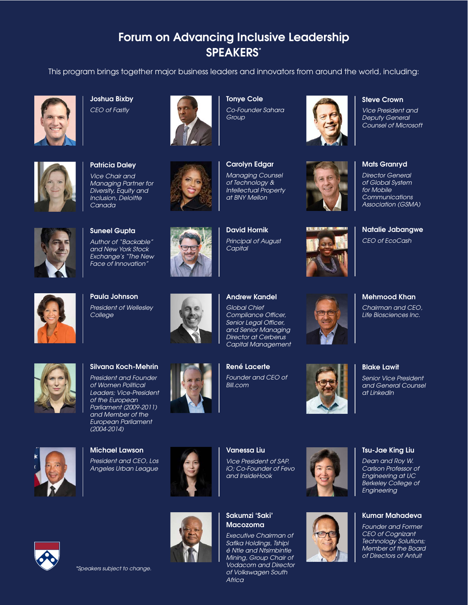## **Forum on Advancing Inclusive Leadership SPEAKERS\***

This program brings together major business leaders and innovators from around the world, including:



**Joshua Bixby** *CEO of Fastly*



**Patricia Daley** *Vice Chair and Managing Partner for Diversity, Equity and Inclusion, Deloitte Canada*



**Tonye Cole** *Co-Founder Sahara Group*



**David Hornik** *Principal of August* 



**Steve Crown**

*Vice President and Deputy General Counsel of Microsoft*



**Mats Granryd**

*Director General of Global System for Mobile Communications Association (GSMA)*

**Natalie Jabangwe**

*CEO of EcoCash* 



**Suneel Gupta** *Author of "Backable" and New York Stock Exchange's "The New Face of Innovation"*

**Paula Johnson** *President of Wellesley* 

*College* 



*Capital*

*Global Chief Compliance Officer, Senior Legal Officer, and Senior Managing Director at Cerberus* 

*Founder and CEO of Bill.com*





*Senior Vice President and General Counsel* 

**Blake Lawit**

*at LinkedIn*

**Mehmood Khan**



## **Silvana Koch-Mehrin**

*President and Founder of Women Political Leaders; Vice-President of the European Parliament (2009-2011) and Member of the European Parliament (2004-2014)*



**Michael Lawson** *President and CEO, Los Angeles Urban League*





## **Sakumzi 'Saki' Macozoma**

**Vanessa Liu**

*Vice President of SAP. iO; Co-Founder of Fevo and InsideHook*

*Executive Chairman of Safika Holdings, Tshipi é Ntle and Ntsimbintle Mining, Group Chair of Vodacom and Director of Volkswagen South Africa*





## **Tsu-Jae King Liu**

*Dean and Roy W. Carlson Professor of Engineering at UC Berkeley College of Engineering*

## **Kumar Mahadeva**

*Founder and Former CEO of Cognizant Technology Solutions; Member of the Board of Directors of Antuit*

*\*Speakers subject to change.*

**René Lacerte**

## **Andrew Kandel**

# *Capital Management*